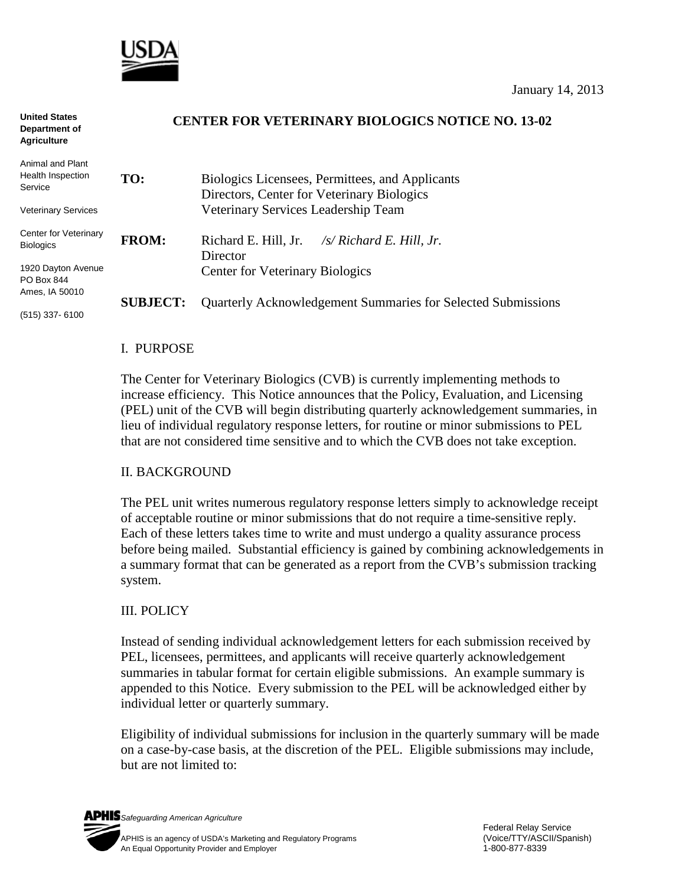

**United States** 

| <b>United States</b><br>Department of<br><b>Agriculture</b> | <b>CENTER FOR VETERINARY BIOLOGICS NOTICE NO. 13-02</b> |                                                                                               |  |  |  |
|-------------------------------------------------------------|---------------------------------------------------------|-----------------------------------------------------------------------------------------------|--|--|--|
| Animal and Plant<br>Health Inspection<br>Service            | TO:                                                     | Biologics Licensees, Permittees, and Applicants<br>Directors, Center for Veterinary Biologics |  |  |  |
| <b>Veterinary Services</b>                                  |                                                         | Veterinary Services Leadership Team                                                           |  |  |  |
| Center for Veterinary<br><b>Biologics</b>                   | <b>FROM:</b>                                            | Richard E. Hill, Jr.<br>/s/ Richard E. Hill, Jr.<br>Director                                  |  |  |  |
| 1920 Dayton Avenue<br>PO Box 844                            |                                                         | <b>Center for Veterinary Biologics</b>                                                        |  |  |  |
| Ames, IA 50010                                              | <b>SUBJECT:</b>                                         | <b>Quarterly Acknowledgement Summaries for Selected Submissions</b>                           |  |  |  |
| $(515)$ 337-6100                                            |                                                         |                                                                                               |  |  |  |

#### I. PURPOSE

The Center for Veterinary Biologics (CVB) is currently implementing methods to increase efficiency. This Notice announces that the Policy, Evaluation, and Licensing (PEL) unit of the CVB will begin distributing quarterly acknowledgement summaries, in lieu of individual regulatory response letters, for routine or minor submissions to PEL that are not considered time sensitive and to which the CVB does not take exception.

### II. BACKGROUND

The PEL unit writes numerous regulatory response letters simply to acknowledge receipt of acceptable routine or minor submissions that do not require a time-sensitive reply. Each of these letters takes time to write and must undergo a quality assurance process before being mailed. Substantial efficiency is gained by combining acknowledgements in a summary format that can be generated as a report from the CVB's submission tracking system.

### III. POLICY

Instead of sending individual acknowledgement letters for each submission received by PEL, licensees, permittees, and applicants will receive quarterly acknowledgement summaries in tabular format for certain eligible submissions. An example summary is appended to this Notice. Every submission to the PEL will be acknowledged either by individual letter or quarterly summary.

Eligibility of individual submissions for inclusion in the quarterly summary will be made on a case-by-case basis, at the discretion of the PEL. Eligible submissions may include, but are not limited to: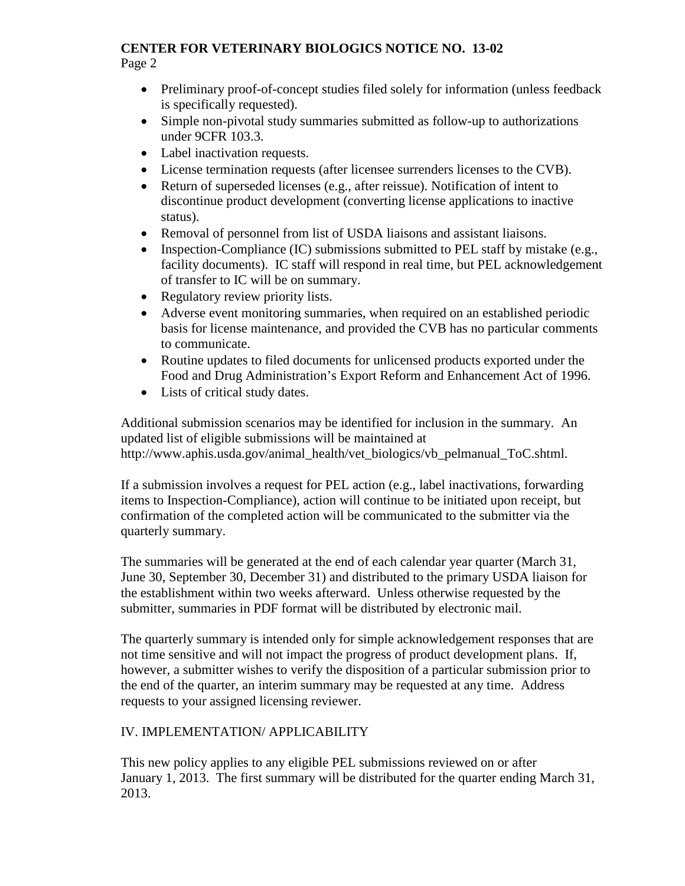#### **CENTER FOR VETERINARY BIOLOGICS NOTICE NO. 13-02** Page 2

- Preliminary proof-of-concept studies filed solely for information (unless feedback is specifically requested).
- Simple non-pivotal study summaries submitted as follow-up to authorizations under 9CFR 103.3.
- Label inactivation requests.
- License termination requests (after licensee surrenders licenses to the CVB).
- Return of superseded licenses (e.g., after reissue). Notification of intent to discontinue product development (converting license applications to inactive status).
- Removal of personnel from list of USDA liaisons and assistant liaisons.
- Inspection-Compliance (IC) submissions submitted to PEL staff by mistake (e.g., facility documents). IC staff will respond in real time, but PEL acknowledgement of transfer to IC will be on summary.
- Regulatory review priority lists.
- Adverse event monitoring summaries, when required on an established periodic basis for license maintenance, and provided the CVB has no particular comments to communicate.
- Routine updates to filed documents for unlicensed products exported under the Food and Drug Administration's Export Reform and Enhancement Act of 1996.
- Lists of critical study dates.

Additional submission scenarios may be identified for inclusion in the summary. An updated list of eligible submissions will be maintained at [http://www.aphis.usda.gov/animal\\_health/vet\\_biologics/vb\\_pelmanual\\_ToC.shtml.](http://www.aphis.usda.gov/animal_health/vet_biologics/vb_pelmanual_ToC.shtml)

If a submission involves a request for PEL action (e.g., label inactivations, forwarding items to Inspection-Compliance), action will continue to be initiated upon receipt, but confirmation of the completed action will be communicated to the submitter via the quarterly summary.

The summaries will be generated at the end of each calendar year quarter (March 31, June 30, September 30, December 31) and distributed to the primary USDA liaison for the establishment within two weeks afterward. Unless otherwise requested by the submitter, summaries in PDF format will be distributed by electronic mail.

The quarterly summary is intended only for simple acknowledgement responses that are not time sensitive and will not impact the progress of product development plans. If, however, a submitter wishes to verify the disposition of a particular submission prior to the end of the quarter, an interim summary may be requested at any time. Address requests to your assigned licensing reviewer.

# IV. IMPLEMENTATION/ APPLICABILITY

This new policy applies to any eligible PEL submissions reviewed on or after January 1, 2013. The first summary will be distributed for the quarter ending March 31, 2013.